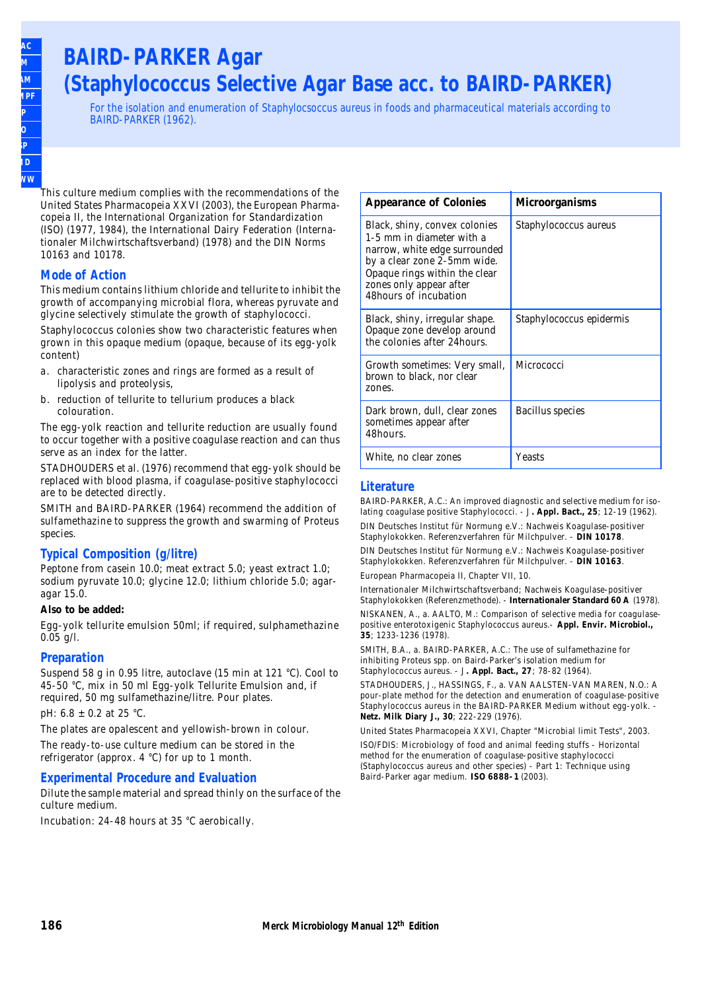## **BAIRD-PARKER Agar (Staphylococcus Selective Agar Base acc. to BAIRD-PARKER)**

For the isolation and enumeration of Staphylocsoccus aureus in foods and pharmaceutical materials according to BAIRD-PARKER (1962).

**SMWW**

This culture medium complies with the recommendations of the United States Pharmacopeia XXVI (2003), the European Pharmacopeia II, the International Organization for Standardization (ISO) (1977, 1984), the International Dairy Federation (Internationaler Milchwirtschaftsverband) (1978) and the DIN Norms 10163 and 10178.

#### **Mode of Action**

This medium contains lithium chloride and tellurite to inhibit the growth of accompanying microbial flora, whereas pyruvate and glycine selectively stimulate the growth of staphylococci.

Staphylococcus colonies show two characteristic features when grown in this opaque medium (opaque, because of its egg-yolk content)

- a. characteristic zones and rings are formed as a result of lipolysis and proteolysis,
- b. reduction of tellurite to tellurium produces a black colouration.

The egg-yolk reaction and tellurite reduction are usually found to occur together with a positive coagulase reaction and can thus serve as an index for the latter.

STADHOUDERS et al. (1976) recommend that egg-yolk should be replaced with blood plasma, if coagulase-positive staphylococci are to be detected directly.

SMITH and BAIRD-PARKER (1964) recommend the addition of sulfamethazine to suppress the growth and swarming of Proteus species.

#### **Typical Composition (g/litre)**

Peptone from casein 10.0; meat extract 5.0; yeast extract 1.0; sodium pyruvate 10.0; glycine 12.0; lithium chloride 5.0; agaragar 15.0.

#### **Also to be added:**

Egg-yolk tellurite emulsion 50ml; if required, sulphamethazine 0.05 g/l.

#### **Preparation**

Suspend 58 g in 0.95 litre, autoclave (15 min at 121 °C). Cool to 45-50 °C, mix in 50 ml Egg-yolk Tellurite Emulsion and, if required, 50 mg sulfamethazine/litre. Pour plates.

pH: 6.8 ± 0.2 at 25 °C.

The plates are opalescent and yellowish-brown in colour.

The ready-to-use culture medium can be stored in the refrigerator (approx. 4 °C) for up to 1 month.

#### **Experimental Procedure and Evaluation**

Dilute the sample material and spread thinly on the surface of the culture medium.

Incubation: 24-48 hours at 35 °C aerobically.

| <b>Appearance of Colonies</b>                                                                                                                                                                                   | Microorganisms           |
|-----------------------------------------------------------------------------------------------------------------------------------------------------------------------------------------------------------------|--------------------------|
| Black, shiny, convex colonies<br>1-5 mm in diameter with a<br>narrow, white edge surrounded<br>by a clear zone 2-5mm wide.<br>Opaque rings within the clear<br>zones only appear after<br>48hours of incubation | Staphylococcus aureus    |
| Black, shiny, irregular shape.<br>Opaque zone develop around<br>the colonies after 24 hours.                                                                                                                    | Staphylococcus epidermis |
| Growth sometimes: Very small,<br>brown to black, nor clear<br>zones.                                                                                                                                            | Micrococci               |
| Dark brown, dull, clear zones<br>sometimes appear after<br>48hours.                                                                                                                                             | Bacillus species         |
| White, no clear zones                                                                                                                                                                                           | Yeasts                   |

#### **Literature**

BAIRD-PARKER, A.C.: An improved diagnostic and selective medium for isolating coagulase positive Staphylococci. - J. Appl. Bact., 25; 12-19 (1962). DIN Deutsches Institut für Normung e.V.: Nachweis Koagulase-positiver

Staphylokokken. Referenzverfahren für Milchpulver. - **DIN 10178**.

DIN Deutsches Institut für Normung e.V.: Nachweis Koagulase-positiver Staphylokokken. Referenzverfahren für Milchpulver. - **DIN 10163**.

European Pharmacopeia II, Chapter VII, 10.

Internationaler Milchwirtschaftsverband; Nachweis Koagulase-positiver Staphylokokken (Referenzmethode). - **Internationaler Standard 60 A** (1978).

NISKANEN, A., a. AALTO, M.: Comparison of selective media for coagulasepositive enterotoxigenic Staphylococcus aureus.- **Appl. Envir. Microbiol., 35**; 1233-1236 (1978).

SMITH, B.A., a. BAIRD-PARKER, A.C.: The use of sulfamethazine for inhibiting Proteus spp. on Baird-Parker's isolation medium for Staphylococcus aureus. - J. Appl. Bact., 27; 78-82 (1964).

STADHOUDERS, J., HASSINGS, F., a. VAN AALSTEN-VAN MAREN, N.O.: A pour-plate method for the detection and enumeration of coagulase-positive Staphylococcus aureus in the BAIRD-PARKER Medium without egg-yolk. - **Netz. Milk Diary J., 30**; 222-229 (1976).

United States Pharmacopeia XXVI, Chapter "Microbial limit Tests", 2003.

ISO/FDIS: Microbiology of food and animal feeding stuffs - Horizontal method for the enumeration of coagulase-positive staphylococci (Staphylococcus aureus and other species) - Part 1: Technique using Baird-Parker agar medium. **ISO 6888-1** (2003).